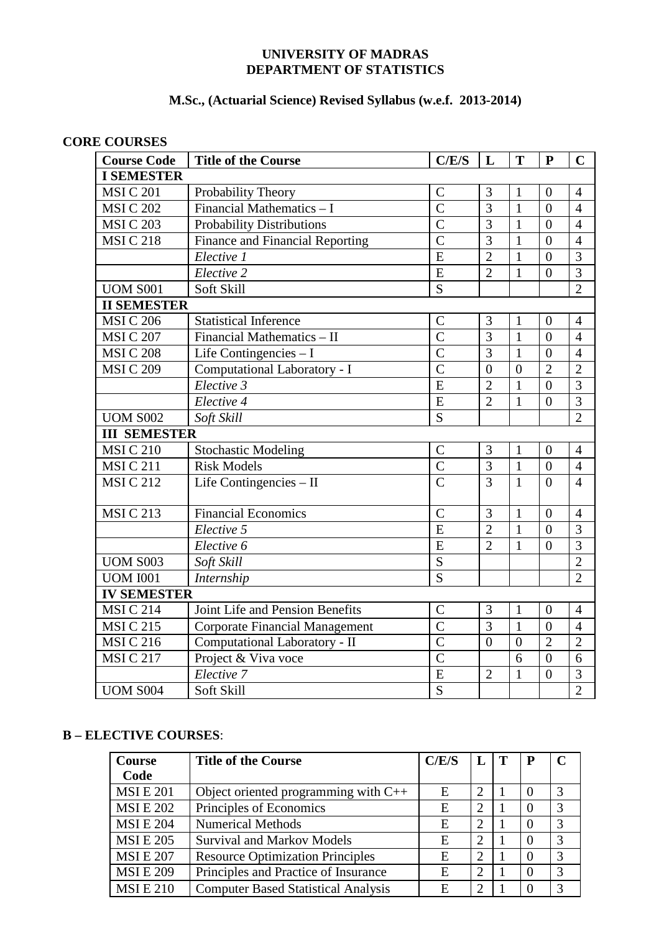# **UNIVERSITY OF MADRAS DEPARTMENT OF STATISTICS**

# **M.Sc., (Actuarial Science) Revised Syllabus (w.e.f. 2013-2014)**

# **CORE COURSES**

| <b>Course Code</b>     | <b>Title of the Course</b>            | C/E/S          | L              | T              | $\mathbf{P}$     | $\mathbf C$    |
|------------------------|---------------------------------------|----------------|----------------|----------------|------------------|----------------|
| <b>I SEMESTER</b>      |                                       |                |                |                |                  |                |
| <b>MSIC 201</b>        | Probability Theory                    | $\mathcal{C}$  | 3              | 1              | $\theta$         | $\overline{4}$ |
| <b>MSI C 202</b>       | Financial Mathematics - I             | $\overline{C}$ | $\overline{3}$ | $\mathbf{1}$   | $\overline{0}$   | $\overline{4}$ |
| <b>MSI C 203</b>       | <b>Probability Distributions</b>      | $\overline{C}$ | 3              | $\mathbf{1}$   | $\overline{0}$   | $\overline{4}$ |
| <b>MSIC 218</b>        | Finance and Financial Reporting       | $\overline{C}$ | 3              | $\mathbf{1}$   | $\overline{0}$   | $\overline{4}$ |
|                        | Elective 1                            | E              | $\overline{2}$ | $\mathbf{1}$   | $\overline{0}$   | 3              |
|                        | Elective 2                            | E              | $\overline{2}$ | $\mathbf{1}$   | $\overline{0}$   | $\overline{3}$ |
| <b>UOM S001</b>        | Soft Skill                            | S              |                |                |                  | $\overline{2}$ |
| <b>II SEMESTER</b>     |                                       |                |                |                |                  |                |
| <b>MSIC 206</b>        | <b>Statistical Inference</b>          | $\mathcal{C}$  | 3              | 1              | $\theta$         | $\overline{4}$ |
| <b>MSI C 207</b>       | Financial Mathematics - II            | $\overline{C}$ | 3              | $\mathbf{1}$   | $\overline{0}$   | $\overline{4}$ |
| <b>MSI C 208</b>       | Life Contingencies $-1$               | $\overline{C}$ | $\overline{3}$ | $\mathbf{1}$   | $\overline{0}$   | $\overline{4}$ |
| <b>MSI C 209</b>       | Computational Laboratory - I          | $\overline{C}$ | $\overline{0}$ | $\overline{0}$ | $\overline{2}$   | $\overline{2}$ |
|                        | Elective 3                            | E              | $\overline{2}$ | $\mathbf{1}$   | $\overline{0}$   | $\overline{3}$ |
|                        | Elective 4                            | E              | $\overline{2}$ | $\mathbf{1}$   | $\boldsymbol{0}$ | 3              |
| <b>UOM S002</b>        | Soft Skill                            | S              |                |                |                  | $\overline{2}$ |
| <b>III SEMESTER</b>    |                                       |                |                |                |                  |                |
| <b>MSIC 210</b>        | <b>Stochastic Modeling</b>            | $\mathcal{C}$  | 3              | $\mathbf{1}$   | $\overline{0}$   | $\overline{4}$ |
| <b>MSIC 211</b>        | <b>Risk Models</b>                    | $\overline{C}$ | $\overline{3}$ | $\mathbf{1}$   | $\overline{0}$   | $\overline{4}$ |
| <b>MSIC 212</b>        | Life Contingencies - II               | $\overline{C}$ | 3              | $\mathbf{1}$   | $\theta$         | $\overline{4}$ |
|                        |                                       |                |                |                |                  |                |
| <b>MSIC 213</b>        | <b>Financial Economics</b>            | $\overline{C}$ | 3              | $\mathbf{1}$   | $\overline{0}$   | $\overline{4}$ |
|                        | Elective 5                            | $\overline{E}$ | $\overline{2}$ | $\mathbf{1}$   | $\overline{0}$   | $\overline{3}$ |
|                        | Elective 6                            | E              | $\overline{2}$ | $\mathbf{1}$   | $\boldsymbol{0}$ | $\overline{3}$ |
| <b>UOM S003</b>        | Soft Skill                            | ${\mathbf S}$  |                |                |                  | $\overline{2}$ |
| <b>UOM I001</b>        | Internship                            | $\overline{S}$ |                |                |                  | $\overline{2}$ |
| <b>IV SEMESTER</b>     |                                       |                |                |                |                  |                |
| MSI C $2\overline{14}$ | Joint Life and Pension Benefits       | $\overline{C}$ | 3              | $\mathbf{1}$   | $\overline{0}$   | $\overline{4}$ |
| <b>MSIC215</b>         | <b>Corporate Financial Management</b> | $\overline{C}$ | 3              | $\mathbf{1}$   | $\overline{0}$   | $\overline{4}$ |
| <b>MSIC 216</b>        | Computational Laboratory - II         | $\overline{C}$ | $\overline{0}$ | $\overline{0}$ | $\overline{2}$   | $\overline{2}$ |
| <b>MSIC 217</b>        | Project & Viva voce                   | $\overline{C}$ |                | 6              | $\overline{0}$   | 6              |
|                        | Elective 7                            | E              | $\overline{2}$ | $\mathbf{1}$   | $\overline{0}$   | 3              |
| <b>UOM S004</b>        | Soft Skill                            | $\overline{S}$ |                |                |                  | $\overline{2}$ |

# **B – ELECTIVE COURSES**:

| <b>Course</b>   | <b>Title of the Course</b>                 | C/E/S | L                           | Т | P |   |
|-----------------|--------------------------------------------|-------|-----------------------------|---|---|---|
| Code            |                                            |       |                             |   |   |   |
| <b>MSIE 201</b> | Object oriented programming with $C++$     | E     | $\mathcal{D}_{\mathcal{L}}$ |   | 0 | 3 |
| <b>MSIE 202</b> | Principles of Economics                    | E     | $\mathcal{D}_{\mathcal{L}}$ |   |   | 3 |
| <b>MSIE 204</b> | <b>Numerical Methods</b>                   | E     | $\mathcal{D}_{\mathcal{A}}$ |   |   | 3 |
| <b>MSIE 205</b> | <b>Survival and Markov Models</b>          | E     | 2                           |   |   | 3 |
| <b>MSIE 207</b> | <b>Resource Optimization Principles</b>    | E     | $\mathfrak{D}_{1}^{(1)}$    |   |   | 3 |
| <b>MSIE 209</b> | Principles and Practice of Insurance       | E     | っ                           |   |   | 3 |
| <b>MSIE 210</b> | <b>Computer Based Statistical Analysis</b> | E     |                             |   |   | 3 |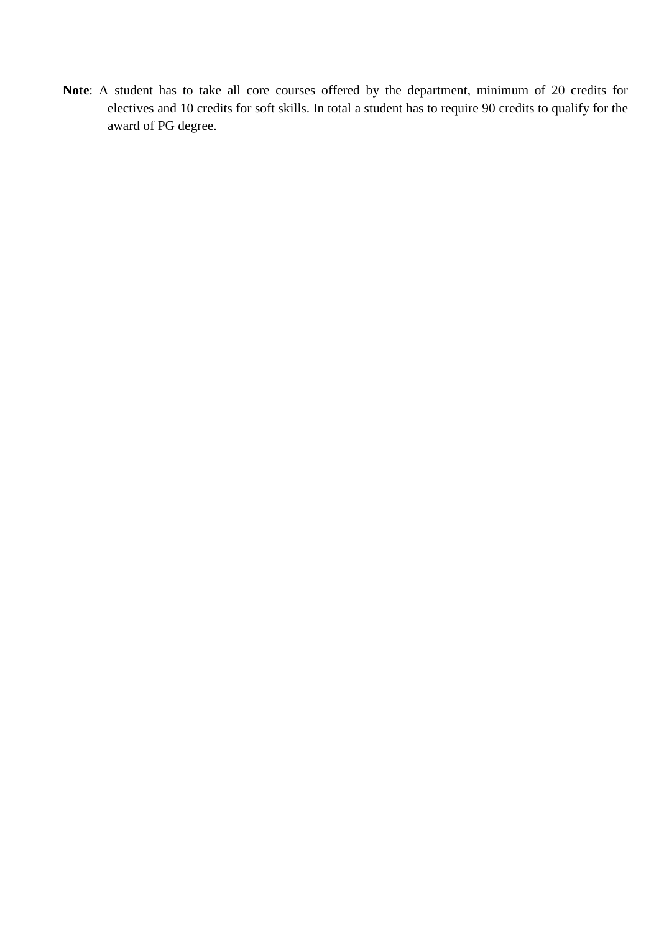**Note**: A student has to take all core courses offered by the department, minimum of 20 credits for electives and 10 credits for soft skills. In total a student has to require 90 credits to qualify for the award of PG degree.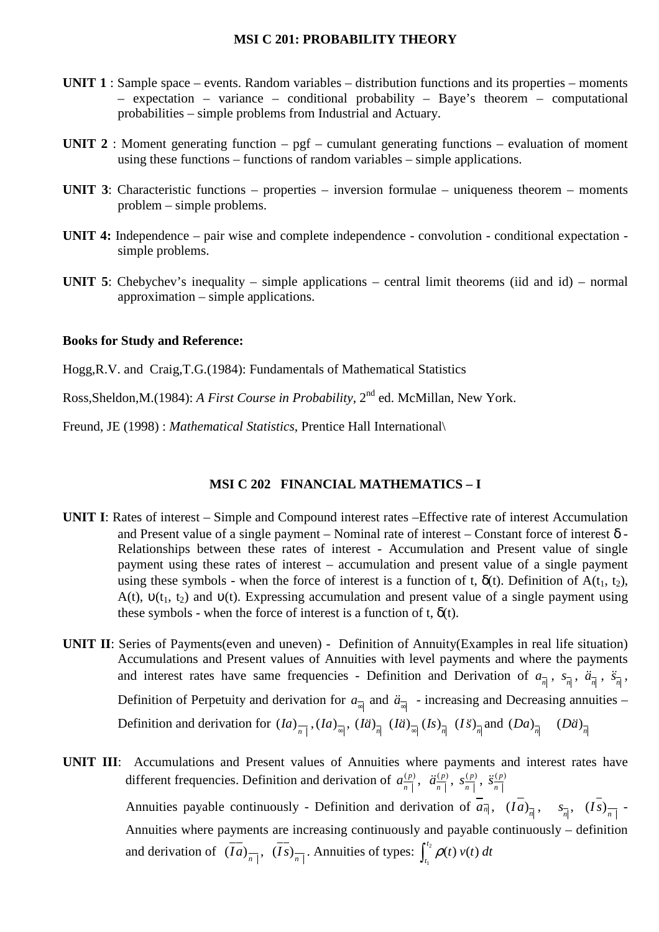#### **MSI C 201: PROBABILITY THEORY**

- **UNIT 1** : Sample space events. Random variables distribution functions and its properties moments – expectation – variance – conditional probability – Baye's theorem – computational probabilities – simple problems from Industrial and Actuary.
- **UNIT 2** : Moment generating function pgf cumulant generating functions evaluation of moment using these functions – functions of random variables – simple applications.
- **UNIT 3**: Characteristic functions properties inversion formulae uniqueness theorem moments problem – simple problems.
- **UNIT 4:** Independence pair wise and complete independence convolution conditional expectation simple problems.
- **UNIT 5**: Chebychev's inequality simple applications central limit theorems (iid and id) normal approximation – simple applications.

#### **Books for Study and Reference:**

Hogg,R.V. and Craig,T.G.(1984): Fundamentals of Mathematical Statistics

Ross, Sheldon, M. (1984): *A First Course in Probability*, 2<sup>nd</sup> ed. McMillan, New York.

Freund, JE (1998) : *Mathematical Statistics*, Prentice Hall International\

#### **MSI C 202 FINANCIAL MATHEMATICS – I**

- **UNIT I**: Rates of interest Simple and Compound interest rates –Effective rate of interest Accumulation and Present value of a single payment – Nominal rate of interest – Constant force of interest  $\delta$  -Relationships between these rates of interest - Accumulation and Present value of single payment using these rates of interest – accumulation and present value of a single payment using these symbols - when the force of interest is a function of t,  $\delta(t)$ . Definition of A(t<sub>1</sub>, t<sub>2</sub>), A(t),  $v(t_1, t_2)$  and  $v(t)$ . Expressing accumulation and present value of a single payment using these symbols - when the force of interest is a function of t,  $\delta(t)$ .
- **UNIT II**: Series of Payments(even and uneven) Definition of Annuity(Examples in real life situation) Accumulations and Present values of Annuities with level payments and where the payments and interest rates have same frequencies - Definition and Derivation of  $a_{\overline{n}}$ ,  $s_{\overline{n}}$ ,  $\ddot{a}_{\overline{n}}$ ,  $\ddot{s}_{\overline{n}}$ , Definition of Perpetuity and derivation for  $a_{\overline{a}}$  and  $\ddot{a}_{\overline{a}}$  - increasing and Decreasing annuities – Definition and derivation for  $(Ia)_{\overline{n}}(Ia)_{\overline{\omega}}(Ia)_{\overline{n}}(I\ddot{a})_{\overline{\omega}}(Is)_{\overline{n}}(Is)_{\overline{n}}(I\ddot{s})_{\overline{n}}$  and  $(Da)_{\overline{n}}$  $(D\ddot{a})_{\dot{n}}$
- **UNIT III**: Accumulations and Present values of Annuities where payments and interest rates have different frequencies. Definition and derivation of  $a_{\overline{n}|}^{(p)}$ ,  $\ddot{a}_{\overline{n}|}^{(p)}$  $\ddot{a}_{\frac{n}{n}}^{(p)}$ ,  $s_{\frac{n}{n}}^{(p)}$  $s_{\frac{n}{n}}^{(p)}, \ddot{s}_{\frac{n}{n}}^{(p)}$ *s*<sup> $\frac{c}{n}$ </sup>

Annuities payable continuously - Definition and derivation of  $a_{\overline{n}}$ ,  $(Ia)_{\overline{n}}$ ,  $s_{\overline{n}}$ ,  $(Is)_{\overline{n}}$ Annuities where payments are increasing continuously and payable continuously – definition and derivation of  $(\overline{Ia})_{\overline{n}|}$ ,  $(\overline{Is})_{\overline{n}|}$ . Annuities of types:  $\int_{t_1}^{t_2} \rho(t) v(t)$  $\int_{t_1}^{t_2} \rho(t) v(t) dt$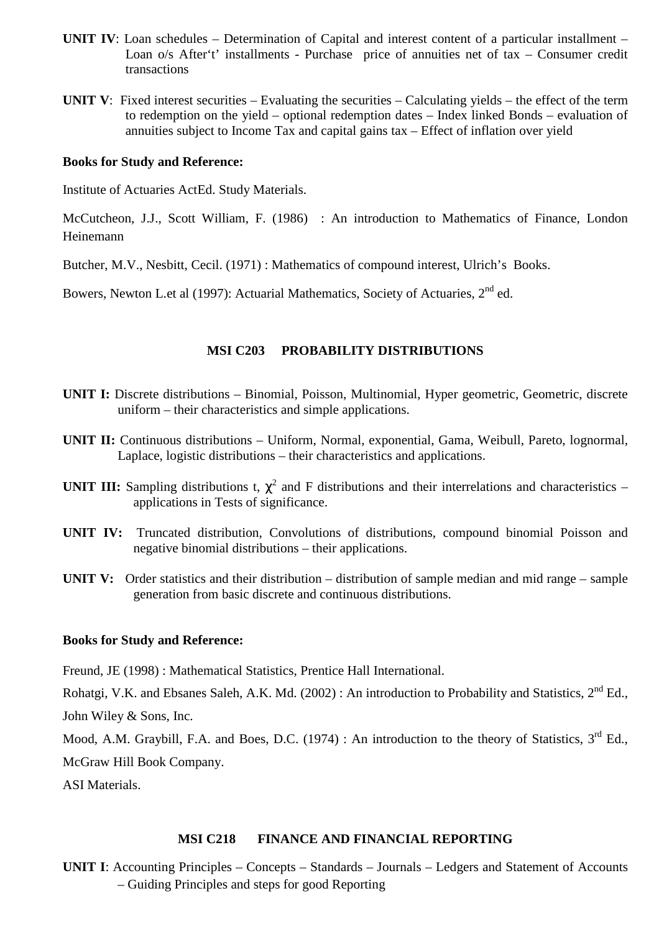- **UNIT IV**: Loan schedules Determination of Capital and interest content of a particular installment Loan o/s After't' installments - Purchase price of annuities net of tax – Consumer credit transactions
- **UNIT V**: Fixed interest securities Evaluating the securities Calculating yields the effect of the term to redemption on the yield – optional redemption dates – Index linked Bonds – evaluation of annuities subject to Income Tax and capital gains tax – Effect of inflation over yield

Institute of Actuaries ActEd. Study Materials.

McCutcheon, J.J., Scott William, F. (1986) : An introduction to Mathematics of Finance, London Heinemann

Butcher, M.V., Nesbitt, Cecil. (1971) : Mathematics of compound interest, Ulrich's Books.

Bowers, Newton L.et al (1997): Actuarial Mathematics, Society of Actuaries, 2nd ed.

# **MSI C203 PROBABILITY DISTRIBUTIONS**

- **UNIT I:** Discrete distributions Binomial, Poisson, Multinomial, Hyper geometric, Geometric, discrete uniform – their characteristics and simple applications.
- **UNIT II:** Continuous distributions Uniform, Normal, exponential, Gama, Weibull, Pareto, lognormal, Laplace, logistic distributions – their characteristics and applications.
- **UNIT III:** Sampling distributions t,  $\chi^2$  and F distributions and their interrelations and characteristics applications in Tests of significance.
- **UNIT IV:** Truncated distribution, Convolutions of distributions, compound binomial Poisson and negative binomial distributions – their applications.
- **UNIT V:** Order statistics and their distribution distribution of sample median and mid range sample generation from basic discrete and continuous distributions.

#### **Books for Study and Reference:**

Freund, JE (1998) : Mathematical Statistics, Prentice Hall International.

Rohatgi, V.K. and Ebsanes Saleh, A.K. Md. (2002) : An introduction to Probability and Statistics, 2<sup>nd</sup> Ed.,

John Wiley & Sons, Inc.

Mood, A.M. Graybill, F.A. and Boes, D.C. (1974) : An introduction to the theory of Statistics, 3<sup>rd</sup> Ed., McGraw Hill Book Company.

ASI Materials.

#### **MSI C218 FINANCE AND FINANCIAL REPORTING**

**UNIT I**: Accounting Principles – Concepts – Standards – Journals – Ledgers and Statement of Accounts – Guiding Principles and steps for good Reporting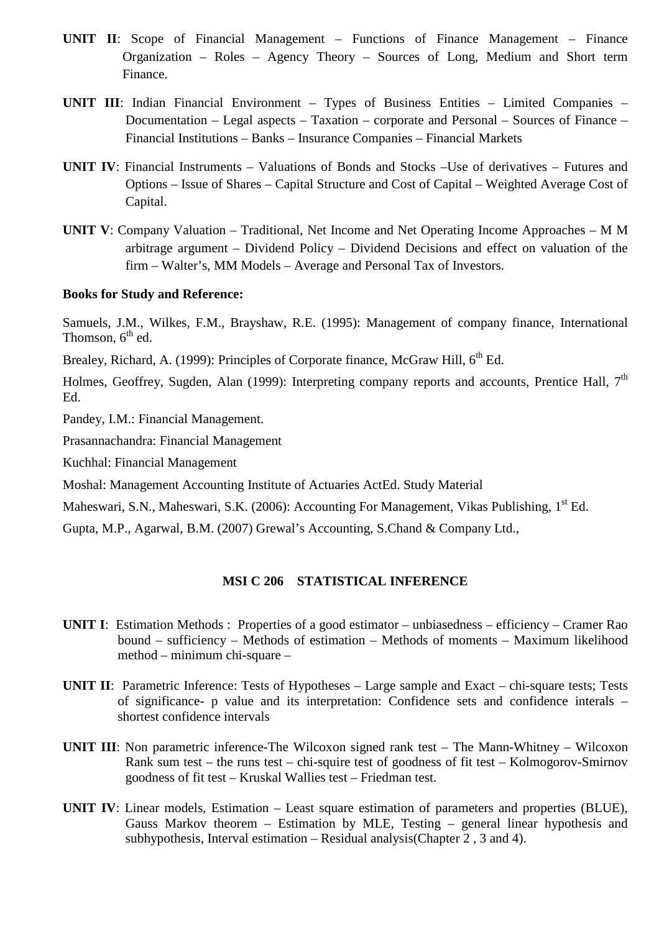- **UNIT II**: Scope of Financial Management Functions of Finance Management Finance Organization – Roles – Agency Theory – Sources of Long, Medium and Short term Finance.
- **UNIT III**: Indian Financial Environment Types of Business Entities Limited Companies Documentation – Legal aspects – Taxation – corporate and Personal – Sources of Finance – Financial Institutions – Banks – Insurance Companies – Financial Markets
- **UNIT IV**: Financial Instruments Valuations of Bonds and Stocks –Use of derivatives Futures and Options – Issue of Shares – Capital Structure and Cost of Capital – Weighted Average Cost of Capital.
- **UNIT V**: Company Valuation Traditional, Net Income and Net Operating Income Approaches M M arbitrage argument – Dividend Policy – Dividend Decisions and effect on valuation of the firm – Walter's, MM Models – Average and Personal Tax of Investors.

Samuels, J.M., Wilkes, F.M., Brayshaw, R.E. (1995): Management of company finance, International Thomson,  $6<sup>th</sup>$  ed.

Brealey, Richard, A. (1999): Principles of Corporate finance, McGraw Hill, 6<sup>th</sup> Ed.

Holmes, Geoffrey, Sugden, Alan (1999): Interpreting company reports and accounts, Prentice Hall,  $7<sup>th</sup>$ Ed.

Pandey, I.M.: Financial Management.

Prasannachandra: Financial Management

Kuchhal: Financial Management

Moshal: Management Accounting Institute of Actuaries ActEd. Study Material

Maheswari, S.N., Maheswari, S.K. (2006): Accounting For Management, Vikas Publishing, 1<sup>st</sup> Ed.

Gupta, M.P., Agarwal, B.M. (2007) Grewal's Accounting, S.Chand & Company Ltd.,

#### **MSI C 206 STATISTICAL INFERENCE**

- **UNIT I**: Estimation Methods : Properties of a good estimator unbiasedness efficiency Cramer Rao bound – sufficiency – Methods of estimation – Methods of moments – Maximum likelihood method – minimum chi-square –
- **UNIT II**: Parametric Inference: Tests of Hypotheses Large sample and Exact chi-square tests; Tests of significance- p value and its interpretation: Confidence sets and confidence interals – shortest confidence intervals
- **UNIT III**: Non parametric inference-The Wilcoxon signed rank test The Mann-Whitney Wilcoxon Rank sum test – the runs test – chi-squire test of goodness of fit test – Kolmogorov-Smirnov goodness of fit test – Kruskal Wallies test – Friedman test.
- **UNIT IV**: Linear models, Estimation Least square estimation of parameters and properties (BLUE), Gauss Markov theorem – Estimation by MLE, Testing – general linear hypothesis and subhypothesis, Interval estimation – Residual analysis(Chapter 2 , 3 and 4).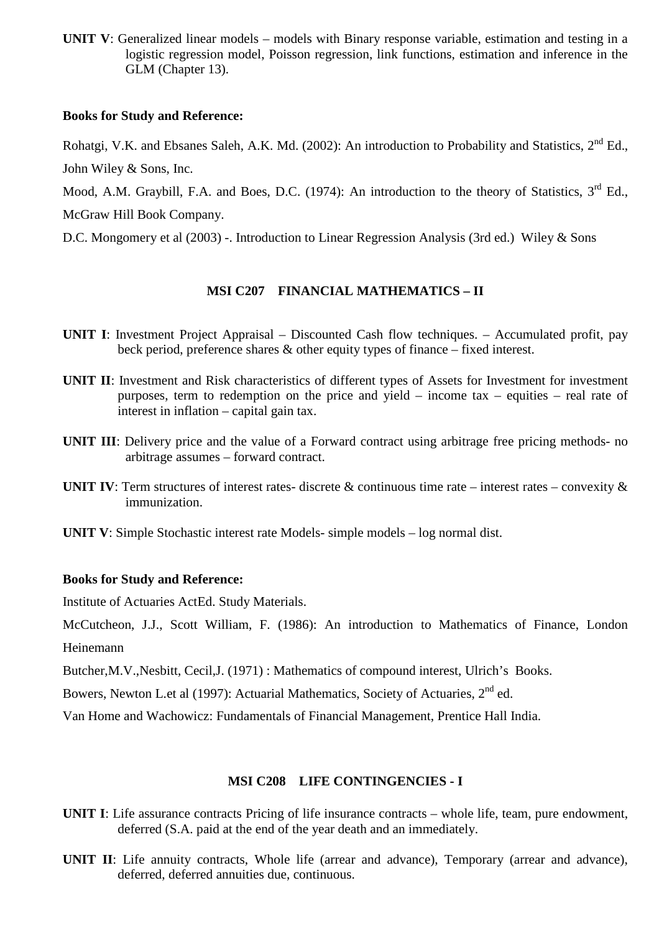**UNIT V**: Generalized linear models – models with Binary response variable, estimation and testing in a logistic regression model, Poisson regression, link functions, estimation and inference in the GLM (Chapter 13).

#### **Books for Study and Reference:**

Rohatgi, V.K. and Ebsanes Saleh, A.K. Md. (2002): An introduction to Probability and Statistics. 2<sup>nd</sup> Ed., John Wiley & Sons, Inc.

Mood, A.M. Graybill, F.A. and Boes, D.C. (1974): An introduction to the theory of Statistics, 3<sup>rd</sup> Ed., McGraw Hill Book Company.

D.C. Mongomery et al (2003) -. Introduction to Linear Regression Analysis (3rd ed.) Wiley & Sons

# **MSI C207 FINANCIAL MATHEMATICS – II**

- **UNIT I:** Investment Project Appraisal Discounted Cash flow techniques. Accumulated profit, pay beck period, preference shares & other equity types of finance – fixed interest.
- **UNIT II**: Investment and Risk characteristics of different types of Assets for Investment for investment purposes, term to redemption on the price and yield – income tax – equities – real rate of interest in inflation – capital gain tax.
- **UNIT III**: Delivery price and the value of a Forward contract using arbitrage free pricing methods- no arbitrage assumes – forward contract.
- **UNIT IV:** Term structures of interest rates- discrete  $\&$  continuous time rate interest rates convexity  $\&$ immunization.
- **UNIT V**: Simple Stochastic interest rate Models- simple models log normal dist.

## **Books for Study and Reference:**

Institute of Actuaries ActEd. Study Materials.

McCutcheon, J.J., Scott William, F. (1986): An introduction to Mathematics of Finance, London Heinemann

Butcher,M.V.,Nesbitt, Cecil,J. (1971) : Mathematics of compound interest, Ulrich's Books.

Bowers, Newton L.et al (1997): Actuarial Mathematics, Society of Actuaries, 2<sup>nd</sup> ed.

Van Home and Wachowicz: Fundamentals of Financial Management, Prentice Hall India.

## **MSI C208 LIFE CONTINGENCIES - I**

- **UNIT I**: Life assurance contracts Pricing of life insurance contracts whole life, team, pure endowment, deferred (S.A. paid at the end of the year death and an immediately.
- **UNIT II**: Life annuity contracts, Whole life (arrear and advance), Temporary (arrear and advance), deferred, deferred annuities due, continuous.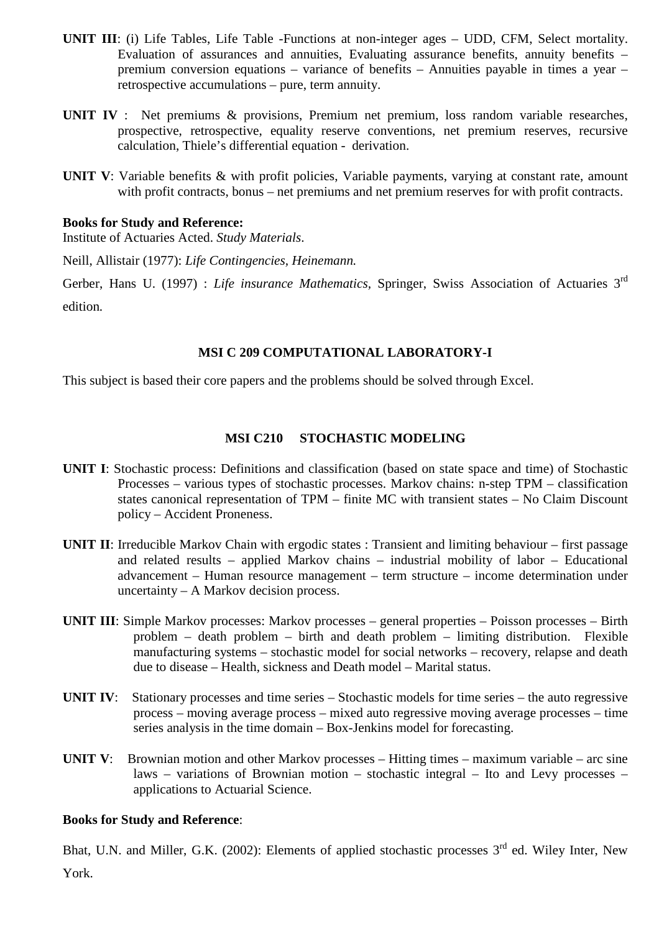- **UNIT III**: (i) Life Tables, Life Table -Functions at non-integer ages UDD, CFM, Select mortality. Evaluation of assurances and annuities, Evaluating assurance benefits, annuity benefits – premium conversion equations – variance of benefits – Annuities payable in times a year – retrospective accumulations – pure, term annuity.
- **UNIT IV** : Net premiums & provisions, Premium net premium, loss random variable researches, prospective, retrospective, equality reserve conventions, net premium reserves, recursive calculation, Thiele's differential equation - derivation.
- **UNIT V**: Variable benefits & with profit policies, Variable payments, varying at constant rate, amount with profit contracts, bonus – net premiums and net premium reserves for with profit contracts.

Institute of Actuaries Acted. *Study Materials*.

Neill, Allistair (1977): *Life Contingencies, Heinemann.*

Gerber, Hans U. (1997) : *Life insurance Mathematics,* Springer, Swiss Association of Actuaries 3rd edition*.*

#### **MSI C 209 COMPUTATIONAL LABORATORY-I**

This subject is based their core papers and the problems should be solved through Excel.

## **MSI C210 STOCHASTIC MODELING**

- **UNIT I**: Stochastic process: Definitions and classification (based on state space and time) of Stochastic Processes – various types of stochastic processes. Markov chains: n-step TPM – classification states canonical representation of TPM – finite MC with transient states – No Claim Discount policy – Accident Proneness.
- **UNIT II:** Irreducible Markov Chain with ergodic states : Transient and limiting behaviour first passage and related results – applied Markov chains – industrial mobility of labor – Educational advancement – Human resource management – term structure – income determination under uncertainty – A Markov decision process.
- **UNIT III**: Simple Markov processes: Markov processes general properties Poisson processes Birth problem – death problem – birth and death problem – limiting distribution. Flexible manufacturing systems – stochastic model for social networks – recovery, relapse and death due to disease – Health, sickness and Death model – Marital status.
- **UNIT IV:** Stationary processes and time series Stochastic models for time series the auto regressive process – moving average process – mixed auto regressive moving average processes – time series analysis in the time domain – Box-Jenkins model for forecasting.
- **UNIT V**: Brownian motion and other Markov processes Hitting times maximum variable arc sine laws – variations of Brownian motion – stochastic integral – Ito and Levy processes – applications to Actuarial Science.

#### **Books for Study and Reference**:

Bhat, U.N. and Miller, G.K. (2002): Elements of applied stochastic processes 3<sup>rd</sup> ed. Wiley Inter, New York.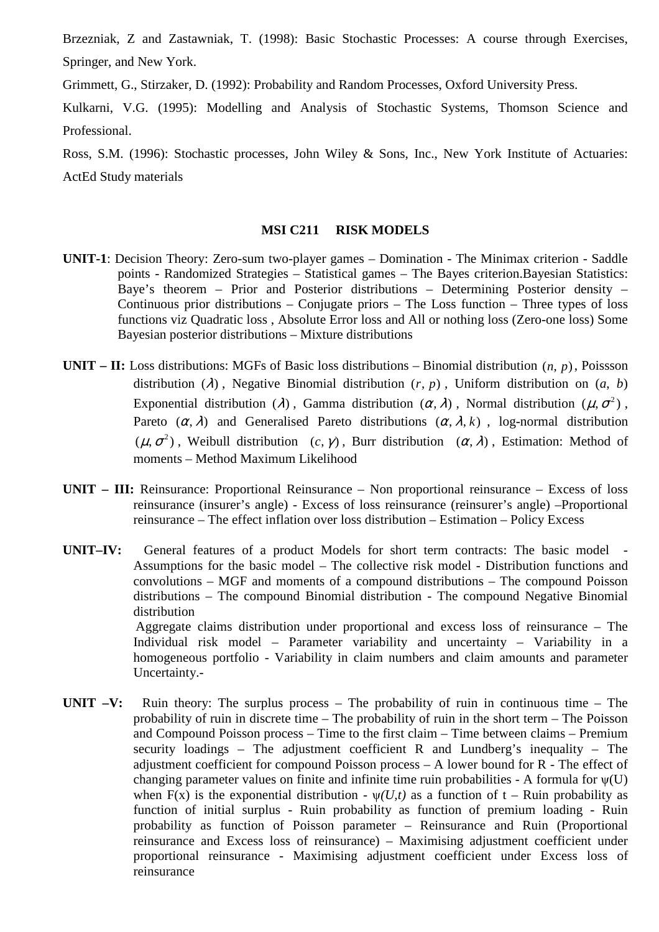Brzezniak, Z and Zastawniak, T. (1998): Basic Stochastic Processes: A course through Exercises, Springer, and New York.

Grimmett, G., Stirzaker, D. (1992): Probability and Random Processes, Oxford University Press.

Kulkarni, V.G. (1995): Modelling and Analysis of Stochastic Systems, Thomson Science and Professional.

Ross, S.M. (1996): Stochastic processes, John Wiley & Sons, Inc., New York Institute of Actuaries: ActEd Study materials

## **MSI C211 RISK MODELS**

- **UNIT-1**: Decision Theory: Zero-sum two-player games Domination The Minimax criterion Saddle points - Randomized Strategies – Statistical games – The Bayes criterion.Bayesian Statistics: Baye's theorem – Prior and Posterior distributions – Determining Posterior density – Continuous prior distributions – Conjugate priors – The Loss function – Three types of loss functions viz Quadratic loss , Absolute Error loss and All or nothing loss (Zero-one loss) Some Bayesian posterior distributions – Mixture distributions
- **UNIT II:** Loss distributions: MGFs of Basic loss distributions Binomial distribution  $(n, p)$ , Poissson distribution ( $\lambda$ ), Negative Binomial distribution ( $r$ ,  $p$ ), Uniform distribution on ( $a$ ,  $b$ ) Exponential distribution ( $\lambda$ ), Gamma distribution ( $\alpha$ ,  $\lambda$ ), Normal distribution ( $\mu$ ,  $\sigma$ <sup>2</sup>), Pareto  $(\alpha, \lambda)$  and Generalised Pareto distributions  $(\alpha, \lambda, k)$ , log-normal distribution  $(\mu, \sigma^2)$ , Weibull distribution  $(c, \gamma)$ , Burr distribution  $(\alpha, \lambda)$ , Estimation: Method of moments – Method Maximum Likelihood
- **UNIT III:** Reinsurance: Proportional Reinsurance Non proportional reinsurance Excess of loss reinsurance (insurer's angle) - Excess of loss reinsurance (reinsurer's angle) –Proportional reinsurance – The effect inflation over loss distribution – Estimation – Policy Excess
- **UNIT–IV:** General features of a product Models for short term contracts: The basic model Assumptions for the basic model – The collective risk model - Distribution functions and convolutions – MGF and moments of a compound distributions – The compound Poisson distributions – The compound Binomial distribution - The compound Negative Binomial distribution Aggregate claims distribution under proportional and excess loss of reinsurance – The Individual risk model – Parameter variability and uncertainty – Variability in a homogeneous portfolio - Variability in claim numbers and claim amounts and parameter Uncertainty.-
- **UNIT –V:** Ruin theory: The surplus process The probability of ruin in continuous time The probability of ruin in discrete time – The probability of ruin in the short term – The Poisson and Compound Poisson process – Time to the first claim – Time between claims – Premium security loadings – The adjustment coefficient R and Lundberg's inequality – The adjustment coefficient for compound Poisson process  $- A$  lower bound for  $R - The$  effect of changing parameter values on finite and infinite time ruin probabilities - A formula for  $\psi(U)$ when F(x) is the exponential distribution -  $\psi(U,t)$  as a function of t – Ruin probability as function of initial surplus - Ruin probability as function of premium loading - Ruin probability as function of Poisson parameter – Reinsurance and Ruin (Proportional reinsurance and Excess loss of reinsurance) – Maximising adjustment coefficient under proportional reinsurance - Maximising adjustment coefficient under Excess loss of reinsurance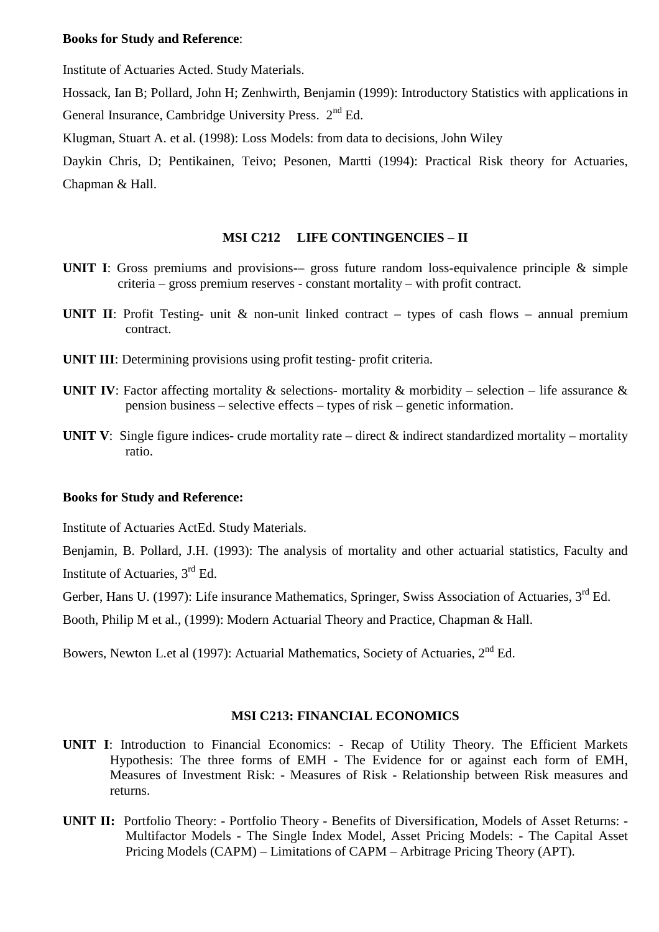Institute of Actuaries Acted. Study Materials.

Hossack, Ian B; Pollard, John H; Zenhwirth, Benjamin (1999): Introductory Statistics with applications in General Insurance, Cambridge University Press.  $2<sup>nd</sup> Ed$ .

Klugman, Stuart A. et al. (1998): Loss Models: from data to decisions, John Wiley

Daykin Chris, D; Pentikainen, Teivo; Pesonen, Martti (1994): Practical Risk theory for Actuaries, Chapman & Hall.

#### **MSI C212 LIFE CONTINGENCIES – II**

- **UNIT I**: Gross premiums and provisions— gross future random loss-equivalence principle & simple criteria – gross premium reserves - constant mortality – with profit contract.
- **UNIT II:** Profit Testing- unit & non-unit linked contract types of cash flows annual premium contract.
- **UNIT III:** Determining provisions using profit testing- profit criteria.
- **UNIT IV:** Factor affecting mortality  $\&$  selections- mortality  $\&$  morbidity selection life assurance  $\&$ pension business – selective effects – types of risk – genetic information.
- **UNIT V:** Single figure indices- crude mortality rate direct & indirect standardized mortality mortality ratio.

#### **Books for Study and Reference:**

Institute of Actuaries ActEd. Study Materials.

Benjamin, B. Pollard, J.H. (1993): The analysis of mortality and other actuarial statistics, Faculty and Institute of Actuaries, 3rd Ed.

Gerber, Hans U. (1997): Life insurance Mathematics, Springer, Swiss Association of Actuaries, 3<sup>rd</sup> Ed.

Booth, Philip M et al., (1999): Modern Actuarial Theory and Practice, Chapman & Hall.

Bowers, Newton L.et al (1997): Actuarial Mathematics, Society of Actuaries, 2<sup>nd</sup> Ed.

## **MSI C213: FINANCIAL ECONOMICS**

- **UNIT I**: Introduction to Financial Economics: Recap of Utility Theory. The Efficient Markets Hypothesis: The three forms of EMH - The Evidence for or against each form of EMH, Measures of Investment Risk: - Measures of Risk - Relationship between Risk measures and returns.
- **UNIT II:** Portfolio Theory: Portfolio Theory Benefits of Diversification, Models of Asset Returns: Multifactor Models - The Single Index Model, Asset Pricing Models: - The Capital Asset Pricing Models (CAPM) – Limitations of CAPM – Arbitrage Pricing Theory (APT).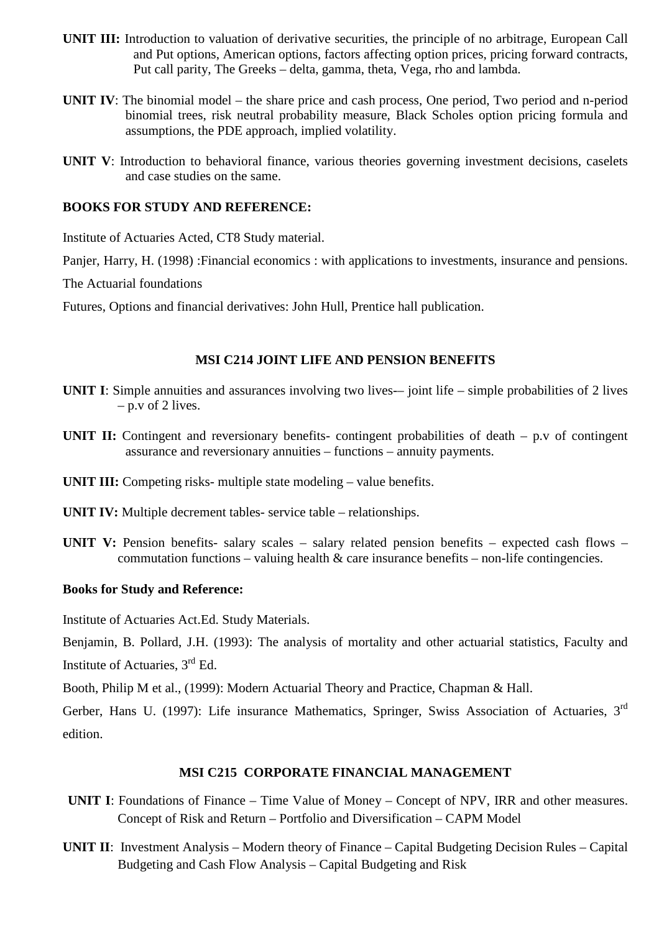- **UNIT III:** Introduction to valuation of derivative securities, the principle of no arbitrage, European Call and Put options, American options, factors affecting option prices, pricing forward contracts, Put call parity, The Greeks – delta, gamma, theta, Vega, rho and lambda.
- **UNIT IV**: The binomial model the share price and cash process, One period, Two period and n-period binomial trees, risk neutral probability measure, Black Scholes option pricing formula and assumptions, the PDE approach, implied volatility.
- **UNIT V**: Introduction to behavioral finance, various theories governing investment decisions, caselets and case studies on the same.

#### **BOOKS FOR STUDY AND REFERENCE:**

Institute of Actuaries Acted, CT8 Study material.

Panier, Harry, H. (1998) : Financial economics : with applications to investments, insurance and pensions.

The Actuarial foundations

Futures, Options and financial derivatives: John Hull, Prentice hall publication.

## **MSI C214 JOINT LIFE AND PENSION BENEFITS**

- **UNIT I:** Simple annuities and assurances involving two lives— joint life simple probabilities of 2 lives  $-$  p.v of 2 lives.
- **UNIT II:** Contingent and reversionary benefits- contingent probabilities of death p.v of contingent assurance and reversionary annuities – functions – annuity payments.

**UNIT III:** Competing risks- multiple state modeling – value benefits.

**UNIT IV:** Multiple decrement tables- service table – relationships.

**UNIT V:** Pension benefits- salary scales – salary related pension benefits – expected cash flows – commutation functions – valuing health  $\&$  care insurance benefits – non-life contingencies.

## **Books for Study and Reference:**

Institute of Actuaries Act.Ed. Study Materials.

Benjamin, B. Pollard, J.H. (1993): The analysis of mortality and other actuarial statistics, Faculty and Institute of Actuaries, 3rd Ed.

Booth, Philip M et al., (1999): Modern Actuarial Theory and Practice, Chapman & Hall.

Gerber, Hans U. (1997): Life insurance Mathematics, Springer, Swiss Association of Actuaries, 3rd edition.

## **MSI C215 CORPORATE FINANCIAL MANAGEMENT**

- **UNIT I**: Foundations of Finance Time Value of Money Concept of NPV, IRR and other measures. Concept of Risk and Return – Portfolio and Diversification – CAPM Model
- **UNIT II**: Investment Analysis Modern theory of Finance Capital Budgeting Decision Rules Capital Budgeting and Cash Flow Analysis – Capital Budgeting and Risk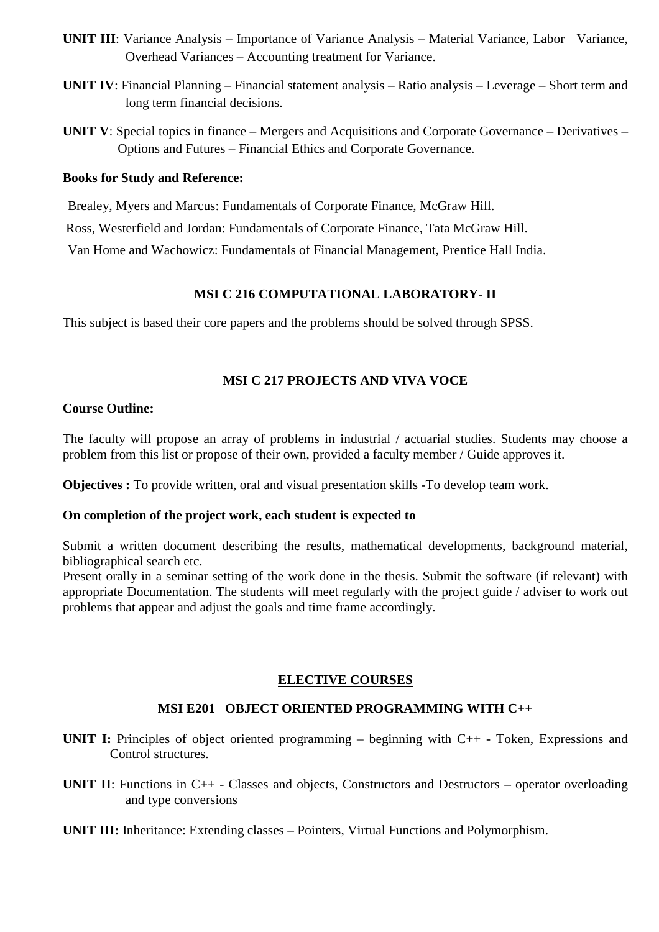- **UNIT III**: Variance Analysis Importance of Variance Analysis Material Variance, Labor Variance, Overhead Variances – Accounting treatment for Variance.
- **UNIT IV**: Financial Planning Financial statement analysis Ratio analysis Leverage Short term and long term financial decisions.
- **UNIT V**: Special topics in finance Mergers and Acquisitions and Corporate Governance Derivatives Options and Futures – Financial Ethics and Corporate Governance.

Brealey, Myers and Marcus: Fundamentals of Corporate Finance, McGraw Hill.

Ross, Westerfield and Jordan: Fundamentals of Corporate Finance, Tata McGraw Hill.

Van Home and Wachowicz: Fundamentals of Financial Management, Prentice Hall India.

## **MSI C 216 COMPUTATIONAL LABORATORY- II**

This subject is based their core papers and the problems should be solved through SPSS.

## **MSI C 217 PROJECTS AND VIVA VOCE**

## **Course Outline:**

The faculty will propose an array of problems in industrial / actuarial studies. Students may choose a problem from this list or propose of their own, provided a faculty member / Guide approves it.

**Objectives :** To provide written, oral and visual presentation skills -To develop team work.

## **On completion of the project work, each student is expected to**

Submit a written document describing the results, mathematical developments, background material, bibliographical search etc.

Present orally in a seminar setting of the work done in the thesis. Submit the software (if relevant) with appropriate Documentation. The students will meet regularly with the project guide / adviser to work out problems that appear and adjust the goals and time frame accordingly.

## **ELECTIVE COURSES**

## **MSI E201 OBJECT ORIENTED PROGRAMMING WITH C++**

- **UNIT I:** Principles of object oriented programming beginning with C++ Token, Expressions and Control structures.
- **UNIT II:** Functions in C++ Classes and objects, Constructors and Destructors operator overloading and type conversions
- **UNIT III:** Inheritance: Extending classes Pointers, Virtual Functions and Polymorphism.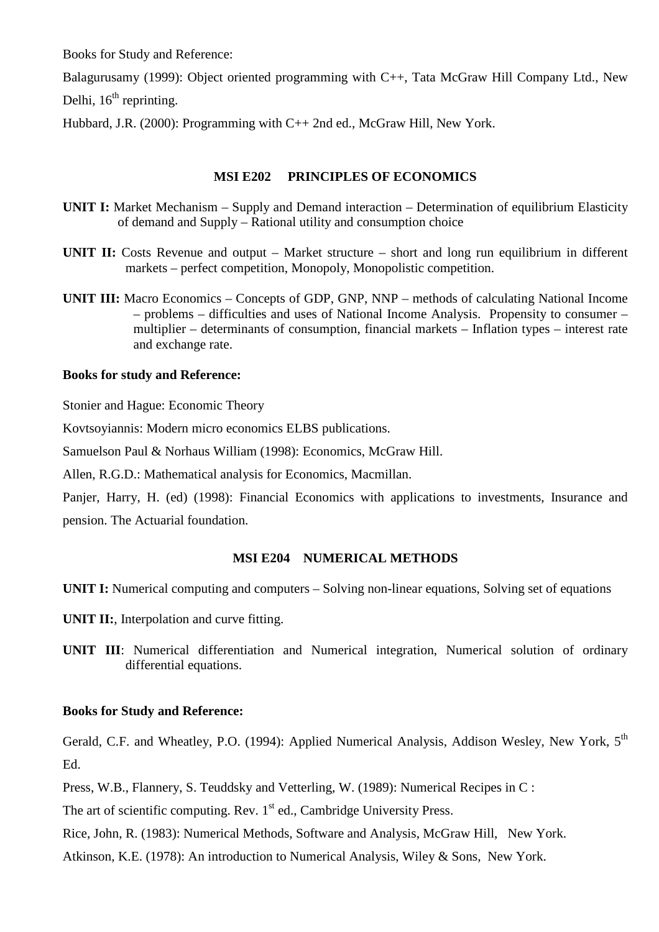Balagurusamy (1999): Object oriented programming with C++, Tata McGraw Hill Company Ltd., New

Delhi,  $16<sup>th</sup>$  reprinting.

Hubbard, J.R. (2000): Programming with C++ 2nd ed., McGraw Hill, New York.

## **MSI E202 PRINCIPLES OF ECONOMICS**

- **UNIT I:** Market Mechanism Supply and Demand interaction Determination of equilibrium Elasticity of demand and Supply – Rational utility and consumption choice
- **UNIT II:** Costs Revenue and output Market structure short and long run equilibrium in different markets – perfect competition, Monopoly, Monopolistic competition.
- **UNIT III:** Macro Economics Concepts of GDP, GNP, NNP methods of calculating National Income – problems – difficulties and uses of National Income Analysis. Propensity to consumer – multiplier – determinants of consumption, financial markets – Inflation types – interest rate and exchange rate.

#### **Books for study and Reference:**

Stonier and Hague: Economic Theory

Kovtsoyiannis: Modern micro economics ELBS publications.

Samuelson Paul & Norhaus William (1998): Economics, McGraw Hill.

Allen, R.G.D.: Mathematical analysis for Economics, Macmillan.

Panjer, Harry, H. (ed) (1998): Financial Economics with applications to investments, Insurance and pension. The Actuarial foundation.

## **MSI E204 NUMERICAL METHODS**

**UNIT I:** Numerical computing and computers – Solving non-linear equations, Solving set of equations

**UNIT II:**, Interpolation and curve fitting.

**UNIT III**: Numerical differentiation and Numerical integration, Numerical solution of ordinary differential equations.

## **Books for Study and Reference:**

Gerald, C.F. and Wheatley, P.O. (1994): Applied Numerical Analysis, Addison Wesley, New York, 5<sup>th</sup> Ed.

Press, W.B., Flannery, S. Teuddsky and Vetterling, W. (1989): Numerical Recipes in C :

The art of scientific computing. Rev.  $1<sup>st</sup>$  ed., Cambridge University Press.

Rice, John, R. (1983): Numerical Methods, Software and Analysis, McGraw Hill, New York.

Atkinson, K.E. (1978): An introduction to Numerical Analysis, Wiley & Sons, New York.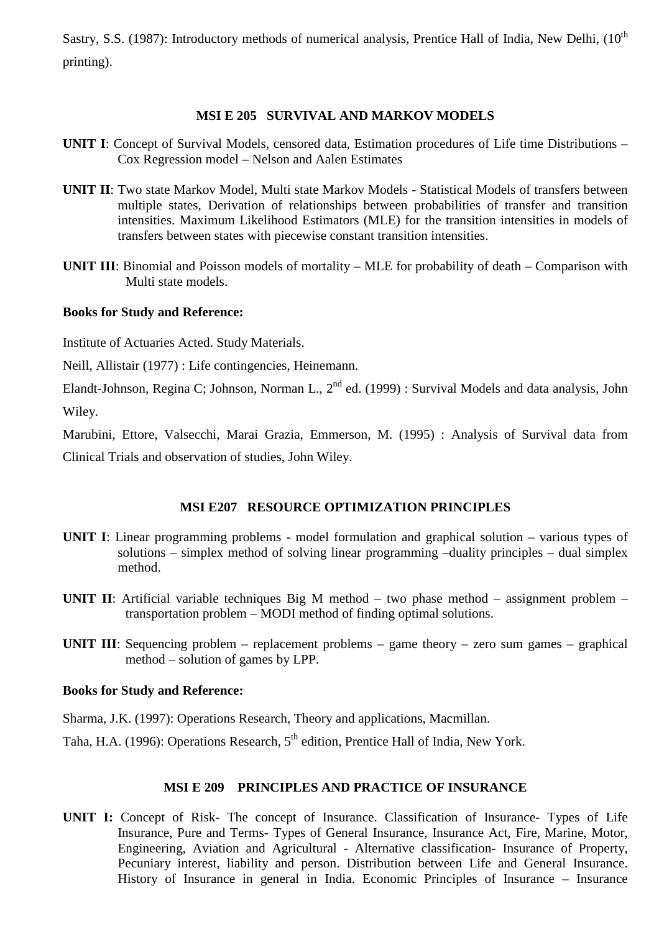Sastry, S.S. (1987): Introductory methods of numerical analysis, Prentice Hall of India, New Delhi, (10<sup>th</sup> printing).

#### **MSI E 205 SURVIVAL AND MARKOV MODELS**

- **UNIT I**: Concept of Survival Models, censored data, Estimation procedures of Life time Distributions Cox Regression model – Nelson and Aalen Estimates
- **UNIT II**: Two state Markov Model, Multi state Markov Models Statistical Models of transfers between multiple states, Derivation of relationships between probabilities of transfer and transition intensities. Maximum Likelihood Estimators (MLE) for the transition intensities in models of transfers between states with piecewise constant transition intensities.
- **UNIT III**: Binomial and Poisson models of mortality MLE for probability of death Comparison with Multi state models.

#### **Books for Study and Reference:**

Institute of Actuaries Acted. Study Materials.

Neill, Allistair (1977) : Life contingencies, Heinemann.

Elandt-Johnson, Regina C; Johnson, Norman L.,  $2^{nd}$  ed. (1999) : Survival Models and data analysis, John Wiley.

Marubini, Ettore, Valsecchi, Marai Grazia, Emmerson, M. (1995) : Analysis of Survival data from Clinical Trials and observation of studies, John Wiley.

## **MSI E207 RESOURCE OPTIMIZATION PRINCIPLES**

- **UNIT I**: Linear programming problems model formulation and graphical solution various types of solutions – simplex method of solving linear programming –duality principles – dual simplex method.
- **UNIT II**: Artificial variable techniques Big M method two phase method assignment problem transportation problem – MODI method of finding optimal solutions.
- **UNIT III**: Sequencing problem replacement problems game theory zero sum games graphical method – solution of games by LPP.

#### **Books for Study and Reference:**

- Sharma, J.K. (1997): Operations Research, Theory and applications, Macmillan.
- Taha, H.A. (1996): Operations Research,  $5<sup>th</sup>$  edition, Prentice Hall of India, New York.

#### **MSI E 209 PRINCIPLES AND PRACTICE OF INSURANCE**

**UNIT I:** Concept of Risk- The concept of Insurance. Classification of Insurance- Types of Life Insurance, Pure and Terms- Types of General Insurance, Insurance Act, Fire, Marine, Motor, Engineering, Aviation and Agricultural - Alternative classification- Insurance of Property, Pecuniary interest, liability and person. Distribution between Life and General Insurance. History of Insurance in general in India. Economic Principles of Insurance – Insurance